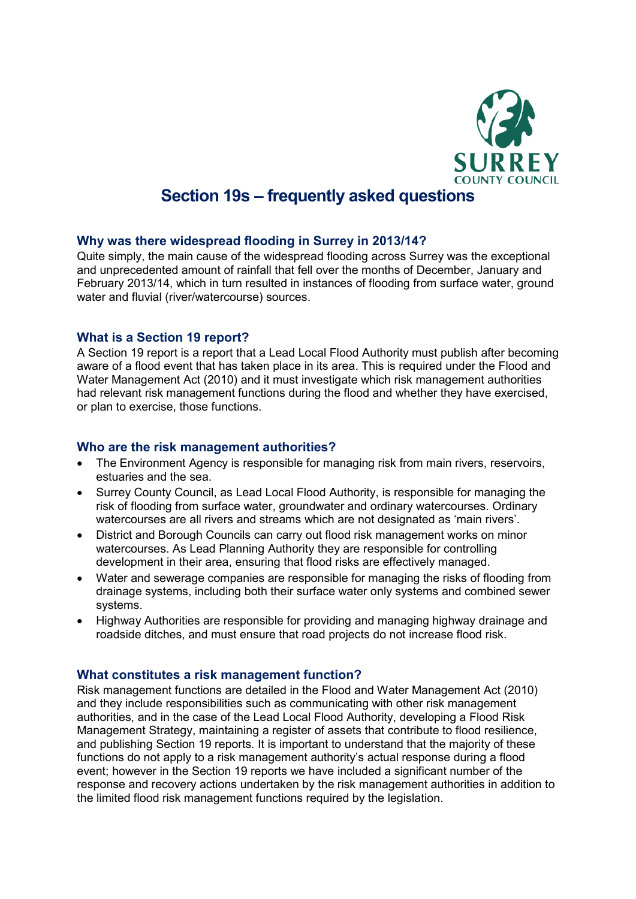

# **Section 19s – frequently asked questions**

#### **Why was there widespread flooding in Surrey in 2013/14?**

Quite simply, the main cause of the widespread flooding across Surrey was the exceptional and unprecedented amount of rainfall that fell over the months of December, January and February 2013/14, which in turn resulted in instances of flooding from surface water, ground water and fluvial (river/watercourse) sources.

#### **What is a Section 19 report?**

A Section 19 report is a report that a Lead Local Flood Authority must publish after becoming aware of a flood event that has taken place in its area. This is required under the Flood and Water Management Act (2010) and it must investigate which risk management authorities had relevant risk management functions during the flood and whether they have exercised, or plan to exercise, those functions.

#### **Who are the risk management authorities?**

- The Environment Agency is responsible for managing risk from main rivers, reservoirs, estuaries and the sea.
- Surrey County Council, as Lead Local Flood Authority, is responsible for managing the risk of flooding from surface water, groundwater and ordinary watercourses. Ordinary watercourses are all rivers and streams which are not designated as 'main rivers'.
- District and Borough Councils can carry out flood risk management works on minor watercourses. As Lead Planning Authority they are responsible for controlling development in their area, ensuring that flood risks are effectively managed.
- Water and sewerage companies are responsible for managing the risks of flooding from drainage systems, including both their surface water only systems and combined sewer systems.
- Highway Authorities are responsible for providing and managing highway drainage and roadside ditches, and must ensure that road projects do not increase flood risk.

## **What constitutes a risk management function?**

Risk management functions are detailed in the Flood and Water Management Act (2010) and they include responsibilities such as communicating with other risk management authorities, and in the case of the Lead Local Flood Authority, developing a Flood Risk Management Strategy, maintaining a register of assets that contribute to flood resilience, and publishing Section 19 reports. It is important to understand that the majority of these functions do not apply to a risk management authority's actual response during a flood event; however in the Section 19 reports we have included a significant number of the response and recovery actions undertaken by the risk management authorities in addition to the limited flood risk management functions required by the legislation.